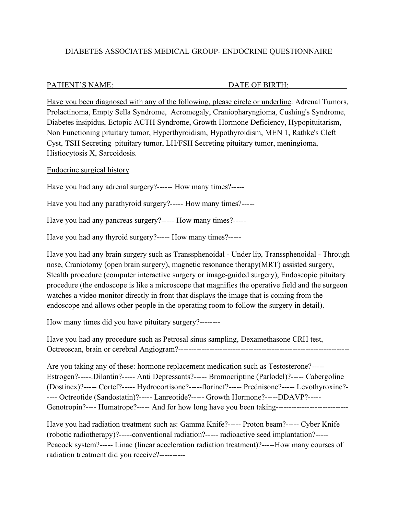# DIABETES ASSOCIATES MEDICAL GROUP- ENDOCRINE QUESTIONNAIRE

## PATIENT'S NAME: DATE OF BIRTH:

Have you been diagnosed with any of the following, please circle or underline: Adrenal Tumors, Prolactinoma, Empty Sella Syndrome, Acromegaly, Craniopharyngioma, Cushing's Syndrome, Diabetes insipidus, Ectopic ACTH Syndrome, Growth Hormone Deficiency, Hypopituitarism, Non Functioning pituitary tumor, Hyperthyroidism, Hypothyroidism, MEN 1, Rathke's Cleft Cyst, TSH Secreting pituitary tumor, LH/FSH Secreting pituitary tumor, meningioma, Histiocytosis X, Sarcoidosis.

Endocrine surgical history

Have you had any adrenal surgery?------ How many times?-----

Have you had any parathyroid surgery?----- How many times?-----

Have you had any pancreas surgery?----- How many times?-----

Have you had any thyroid surgery?----- How many times?-----

Have you had any brain surgery such as Transsphenoidal - Under lip, Transsphenoidal - Through nose, Craniotomy (open brain surgery), magnetic resonance therapy(MRT) assisted surgery, Stealth procedure (computer interactive surgery or image-guided surgery), Endoscopic pituitary procedure (the endoscope is like a microscope that magnifies the operative field and the surgeon watches a video monitor directly in front that displays the image that is coming from the endoscope and allows other people in the operating room to follow the surgery in detail).

How many times did you have pituitary surgery?--------

Have you had any procedure such as Petrosal sinus sampling, Dexamethasone CRH test, Octreoscan, brain or cerebral Angiogram?------------------------------------------------------------------

Are you taking any of these: hormone replacement medication such as Testosterone?----- Estrogen?-----.Dilantin?----- Anti Depressants?----- Bromocriptine (Parlodel)?----- Cabergoline (Dostinex)?----- Cortef?----- Hydrocortisone?-----florinef?----- Prednisone?----- Levothyroxine?- ---- Octreotide (Sandostatin)?----- Lanreotide?----- Growth Hormone?-----DDAVP?----- Genotropin?---- Humatrope?----- And for how long have you been taking-------------------------------

Have you had radiation treatment such as: Gamma Knife?----- Proton beam?----- Cyber Knife (robotic radiotherapy)?-----conventional radiation?----- radioactive seed implantation?----- Peacock system?----- Linac (linear acceleration radiation treatment)?-----How many courses of radiation treatment did you receive?----------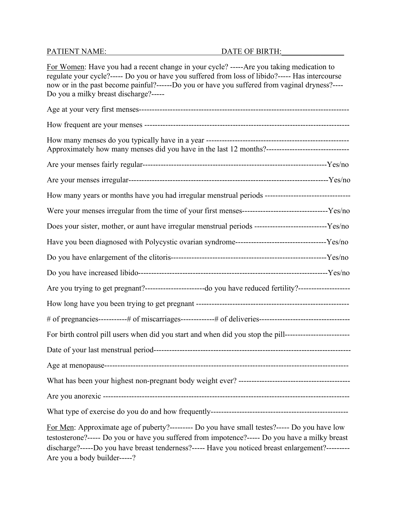For Women: Have you had a recent change in your cycle? -----Are you taking medication to regulate your cycle?----- Do you or have you suffered from loss of libido?----- Has intercourse now or in the past become painful?------Do you or have you suffered from vaginal dryness?---- Do you a milky breast discharge?-----

| Approximately how many menses did you have in the last 12 months?----------------------------------                                                                                                                                                                                                                                |  |
|------------------------------------------------------------------------------------------------------------------------------------------------------------------------------------------------------------------------------------------------------------------------------------------------------------------------------------|--|
|                                                                                                                                                                                                                                                                                                                                    |  |
|                                                                                                                                                                                                                                                                                                                                    |  |
| How many years or months have you had irregular menstrual periods --------------------------------                                                                                                                                                                                                                                 |  |
|                                                                                                                                                                                                                                                                                                                                    |  |
| Does your sister, mother, or aunt have irregular menstrual periods ------------------------------Yes/no                                                                                                                                                                                                                            |  |
|                                                                                                                                                                                                                                                                                                                                    |  |
|                                                                                                                                                                                                                                                                                                                                    |  |
|                                                                                                                                                                                                                                                                                                                                    |  |
| Are you trying to get pregnant?------------------------do you have reduced fertility?--------------------                                                                                                                                                                                                                          |  |
|                                                                                                                                                                                                                                                                                                                                    |  |
|                                                                                                                                                                                                                                                                                                                                    |  |
| For birth control pill users when did you start and when did you stop the pill-------------------------                                                                                                                                                                                                                            |  |
|                                                                                                                                                                                                                                                                                                                                    |  |
|                                                                                                                                                                                                                                                                                                                                    |  |
|                                                                                                                                                                                                                                                                                                                                    |  |
| Are you anorexic -                                                                                                                                                                                                                                                                                                                 |  |
|                                                                                                                                                                                                                                                                                                                                    |  |
| For Men: Approximate age of puberty?--------- Do you have small testes?----- Do you have low<br>testosterone?----- Do you or have you suffered from impotence?----- Do you have a milky breast<br>discharge?-----Do you have breast tenderness?----- Have you noticed breast enlargement?---------<br>Are you a body builder-----? |  |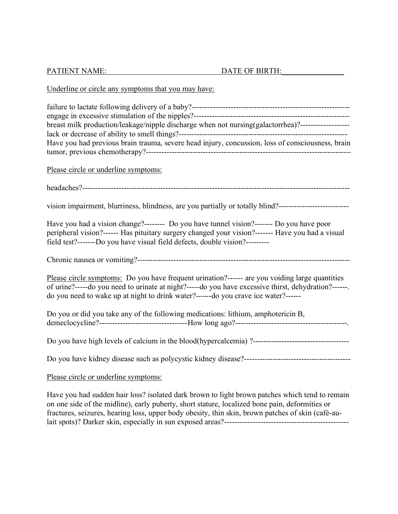| <b>PATIENT NAME:</b> | DATE OF BIRTH: |  |
|----------------------|----------------|--|
|----------------------|----------------|--|

### Underline or circle any symptoms that you may have:

| breast milk production/leakage/nipple discharge when not nursing(galactorrhea)?-------------------- |
|-----------------------------------------------------------------------------------------------------|
|                                                                                                     |
| Have you had previous brain trauma, severe head injury, concussion, loss of consciousness, brain    |
|                                                                                                     |
|                                                                                                     |
| Please circle or underline symptoms:                                                                |
|                                                                                                     |
|                                                                                                     |
|                                                                                                     |
| vision impairment, blurriness, blindness, are you partially or totally blind?-------------          |

Have you had a vision change?-------- Do you have tunnel vision?------- Do you have poor peripheral vision?------ Has pituitary surgery changed your vision?------- Have you had a visual field test?-------Do you have visual field defects, double vision?---------

Chronic nausea or vomiting?----------------------------------------------------------------------------------

Please circle symptoms: Do you have frequent urination?------ are you voiding large quantities of urine?-----do you need to urinate at night?-----do you have excessive thirst, dehydration?------. do you need to wake up at night to drink water?------do you crave ice water?------

| Do you or did you take any of the following medications: lithium, amphotericin B, |
|-----------------------------------------------------------------------------------|
|                                                                                   |

Do you have high levels of calcium in the blood(hypercalcemia) ?-------------------------------------

Do you have kidney disease such as polycystic kidney disease?-----------------------------------------

### Please circle or underline symptoms:

Have you had sudden hair loss? isolated dark brown to light brown patches which tend to remain on one side of the midline), early puberty, short stature, localized bone pain, deformities or fractures, seizures, hearing loss, upper body obesity, thin skin, brown patches of skin (café-aulait spots)? Darker skin, especially in sun exposed areas?------------------------------------------------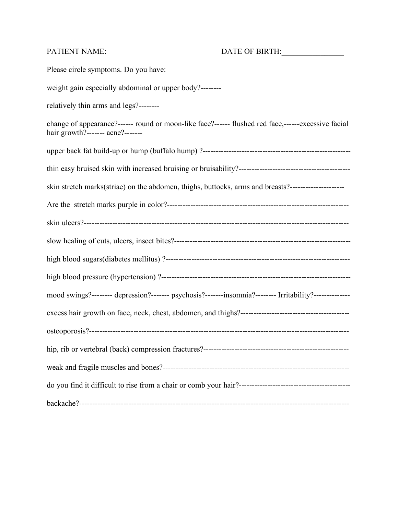Please circle symptoms. Do you have: weight gain especially abdominal or upper body?-------relatively thin arms and legs?------- change of appearance?------ round or moon-like face?------ flushed red face,------excessive facial hair growth?------- acne?------ upper back fat build-up or hump (buffalo hump) ?-------------------------------------------------------- thin easy bruised skin with increased bruising or bruisability?------------------------------------------ skin stretch marks(striae) on the abdomen, thighs, buttocks, arms and breasts?--------------------------------Are the stretch marks purple in color?--------------------------------------------------------------------- skin ulcers?----------------------------------------------------------------------------------------------------- slow healing of cuts, ulcers, insect bites?------------------------------------------------------------------- high blood sugars(diabetes mellitus) ?---------------------------------------------------------------------- high blood pressure (hypertension) ?------------------------------------------------------------------------ mood swings?-------- depression?------- psychosis?-------insomnia?-------- Irritability?---------------excess hair growth on face, neck, chest, abdomen, and thighs?----------------------------------------- osteoporosis?--------------------------------------------------------------------------------------------------- hip, rib or vertebral (back) compression fractures?------------------------------------------------------- weak and fragile muscles and bones?----------------------------------------------------------------------- do you find it difficult to rise from a chair or comb your hair?------------------------------------------ backache?--------------------------------------------------------------------------------------------------------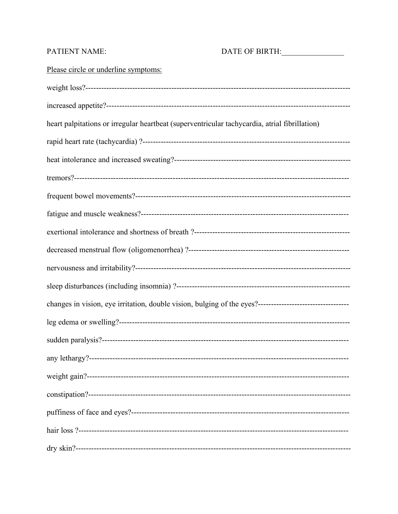### **PATIENT NAME:**

### DATE OF BIRTH:

## Please circle or underline symptoms:

heart palpitations or irregular heartbeat (superventricular tachycardia, atrial fibrillation)